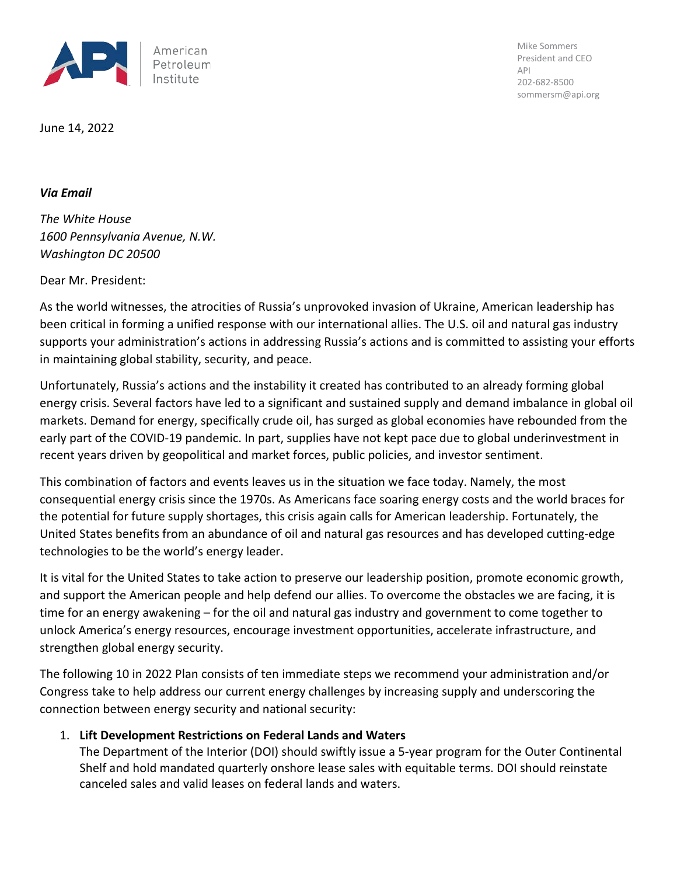

Mike Sommers President and CEO API 202-682-8500 sommersm@api.org

June 14, 2022

### *Via Email*

*The White House 1600 Pennsylvania Avenue, N.W. Washington DC 20500*

Dear Mr. President:

As the world witnesses, the atrocities of Russia's unprovoked invasion of Ukraine, American leadership has been critical in forming a unified response with our international allies. The U.S. oil and natural gas industry supports your administration's actions in addressing Russia's actions and is committed to assisting your efforts in maintaining global stability, security, and peace.

Unfortunately, Russia's actions and the instability it created has contributed to an already forming global energy crisis. Several factors have led to a significant and sustained supply and demand imbalance in global oil markets. Demand for energy, specifically crude oil, has surged as global economies have rebounded from the early part of the COVID-19 pandemic. In part, supplies have not kept pace due to global underinvestment in recent years driven by geopolitical and market forces, public policies, and investor sentiment.

This combination of factors and events leaves us in the situation we face today. Namely, the most consequential energy crisis since the 1970s. As Americans face soaring energy costs and the world braces for the potential for future supply shortages, this crisis again calls for American leadership. Fortunately, the United States benefits from an abundance of oil and natural gas resources and has developed cutting-edge technologies to be the world's energy leader.

It is vital for the United States to take action to preserve our leadership position, promote economic growth, and support the American people and help defend our allies. To overcome the obstacles we are facing, it is time for an energy awakening – for the oil and natural gas industry and government to come together to unlock America's energy resources, encourage investment opportunities, accelerate infrastructure, and strengthen global energy security.

The following 10 in 2022 Plan consists of ten immediate steps we recommend your administration and/or Congress take to help address our current energy challenges by increasing supply and underscoring the connection between energy security and national security:

# 1. **Lift Development Restrictions on Federal Lands and Waters**

The Department of the Interior (DOI) should swiftly issue a 5-year program for the Outer Continental Shelf and hold mandated quarterly onshore lease sales with equitable terms. DOI should reinstate canceled sales and valid leases on federal lands and waters.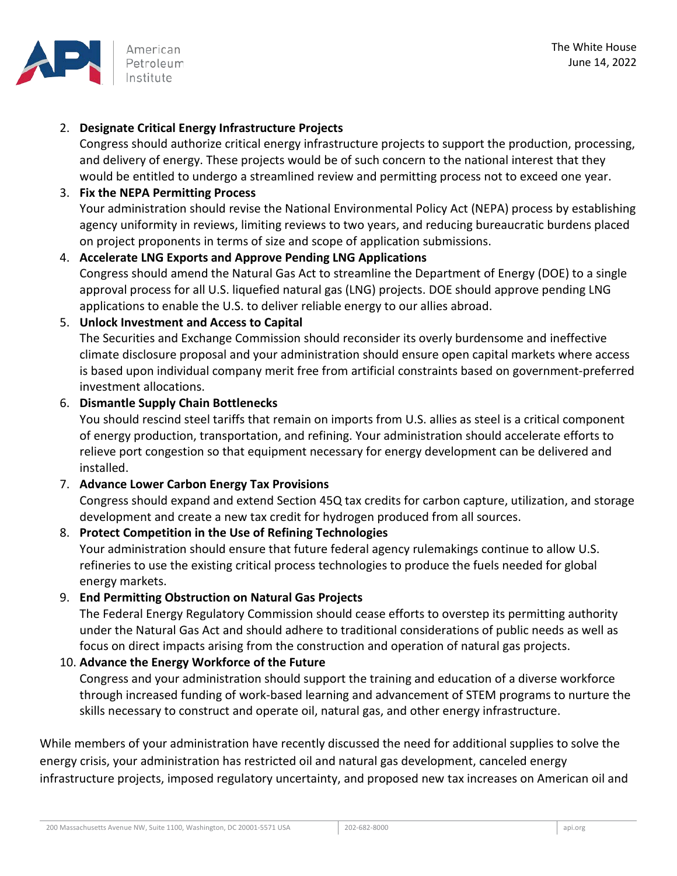

# 2. **Designate Critical Energy Infrastructure Projects**

Congress should authorize critical energy infrastructure projects to support the production, processing, and delivery of energy. These projects would be of such concern to the national interest that they would be entitled to undergo a streamlined review and permitting process not to exceed one year.

### 3. **Fix the NEPA Permitting Process**

Your administration should revise the National Environmental Policy Act (NEPA) process by establishing agency uniformity in reviews, limiting reviews to two years, and reducing bureaucratic burdens placed on project proponents in terms of size and scope of application submissions.

### 4. **Accelerate LNG Exports and Approve Pending LNG Applications**

Congress should amend the Natural Gas Act to streamline the Department of Energy (DOE) to a single approval process for all U.S. liquefied natural gas (LNG) projects. DOE should approve pending LNG applications to enable the U.S. to deliver reliable energy to our allies abroad.

## 5. **Unlock Investment and Access to Capital**

The Securities and Exchange Commission should reconsider its overly burdensome and ineffective climate disclosure proposal and your administration should ensure open capital markets where access is based upon individual company merit free from artificial constraints based on government-preferred investment allocations.

#### 6. **Dismantle Supply Chain Bottlenecks**

You should rescind steel tariffs that remain on imports from U.S. allies as steel is a critical component of energy production, transportation, and refining. Your administration should accelerate efforts to relieve port congestion so that equipment necessary for energy development can be delivered and installed.

# 7. **Advance Lower Carbon Energy Tax Provisions**

Congress should expand and extend Section 45Q tax credits for carbon capture, utilization, and storage development and create a new tax credit for hydrogen produced from all sources.

#### 8. **Protect Competition in the Use of Refining Technologies**

Your administration should ensure that future federal agency rulemakings continue to allow U.S. refineries to use the existing critical process technologies to produce the fuels needed for global energy markets.

#### 9. **End Permitting Obstruction on Natural Gas Projects**

The Federal Energy Regulatory Commission should cease efforts to overstep its permitting authority under the Natural Gas Act and should adhere to traditional considerations of public needs as well as focus on direct impacts arising from the construction and operation of natural gas projects.

#### 10. **Advance the Energy Workforce of the Future**

Congress and your administration should support the training and education of a diverse workforce through increased funding of work-based learning and advancement of STEM programs to nurture the skills necessary to construct and operate oil, natural gas, and other energy infrastructure.

While members of your administration have recently discussed the need for additional supplies to solve the energy crisis, your administration has restricted oil and natural gas development, canceled energy infrastructure projects, imposed regulatory uncertainty, and proposed new tax increases on American oil and